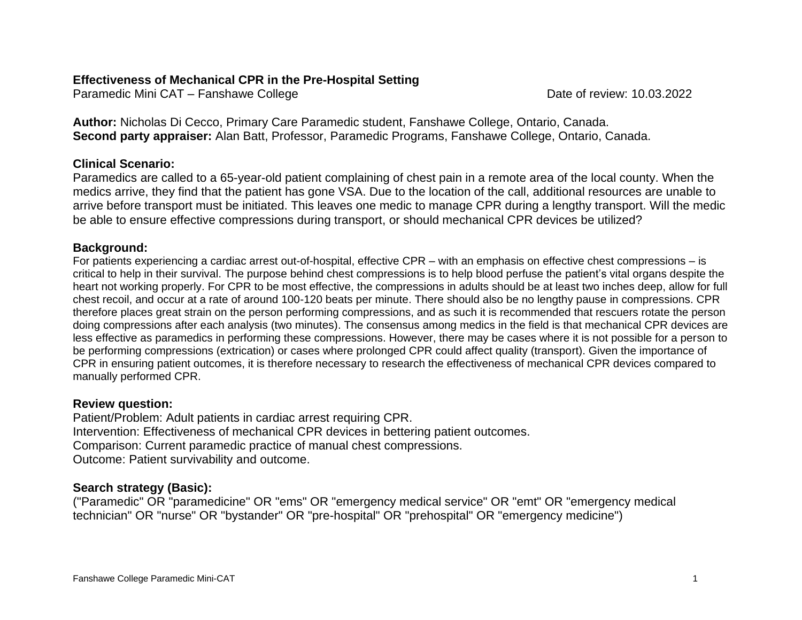## **Effectiveness of Mechanical CPR in the Pre-Hospital Setting**

Paramedic Mini CAT – Fanshawe College Date of review: 10.03.2022

**Author:** Nicholas Di Cecco, Primary Care Paramedic student, Fanshawe College, Ontario, Canada. **Second party appraiser:** Alan Batt, Professor, Paramedic Programs, Fanshawe College, Ontario, Canada.

## **Clinical Scenario:**

Paramedics are called to a 65-year-old patient complaining of chest pain in a remote area of the local county. When the medics arrive, they find that the patient has gone VSA. Due to the location of the call, additional resources are unable to arrive before transport must be initiated. This leaves one medic to manage CPR during a lengthy transport. Will the medic be able to ensure effective compressions during transport, or should mechanical CPR devices be utilized?

## **Background:**

For patients experiencing a cardiac arrest out-of-hospital, effective CPR – with an emphasis on effective chest compressions – is critical to help in their survival. The purpose behind chest compressions is to help blood perfuse the patient's vital organs despite the heart not working properly. For CPR to be most effective, the compressions in adults should be at least two inches deep, allow for full chest recoil, and occur at a rate of around 100-120 beats per minute. There should also be no lengthy pause in compressions. CPR therefore places great strain on the person performing compressions, and as such it is recommended that rescuers rotate the person doing compressions after each analysis (two minutes). The consensus among medics in the field is that mechanical CPR devices are less effective as paramedics in performing these compressions. However, there may be cases where it is not possible for a person to be performing compressions (extrication) or cases where prolonged CPR could affect quality (transport). Given the importance of CPR in ensuring patient outcomes, it is therefore necessary to research the effectiveness of mechanical CPR devices compared to manually performed CPR.

### **Review question:**

Patient/Problem: Adult patients in cardiac arrest requiring CPR. Intervention: Effectiveness of mechanical CPR devices in bettering patient outcomes. Comparison: Current paramedic practice of manual chest compressions. Outcome: Patient survivability and outcome.

## **Search strategy (Basic):**

("Paramedic" OR "paramedicine" OR "ems" OR "emergency medical service" OR "emt" OR "emergency medical technician" OR "nurse" OR "bystander" OR "pre-hospital" OR "prehospital" OR "emergency medicine")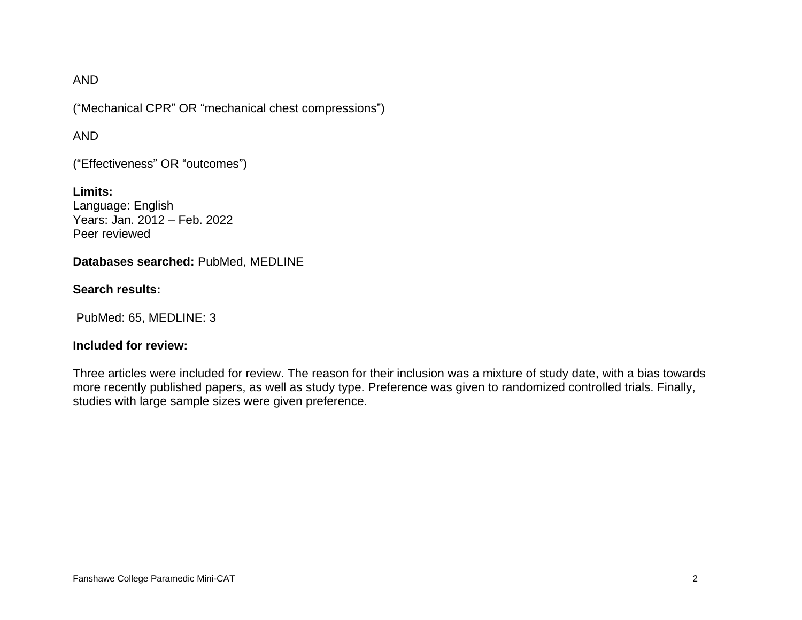#### AND

("Mechanical CPR" OR "mechanical chest compressions")

#### AND

("Effectiveness" OR "outcomes")

**Limits:** Language: English Years: Jan. 2012 – Feb. 2022 Peer reviewed

#### **Databases searched:** PubMed, MEDLINE

#### **Search results:**

PubMed: 65, MEDLINE: 3

#### **Included for review:**

Three articles were included for review. The reason for their inclusion was a mixture of study date, with a bias towards more recently published papers, as well as study type. Preference was given to randomized controlled trials. Finally, studies with large sample sizes were given preference.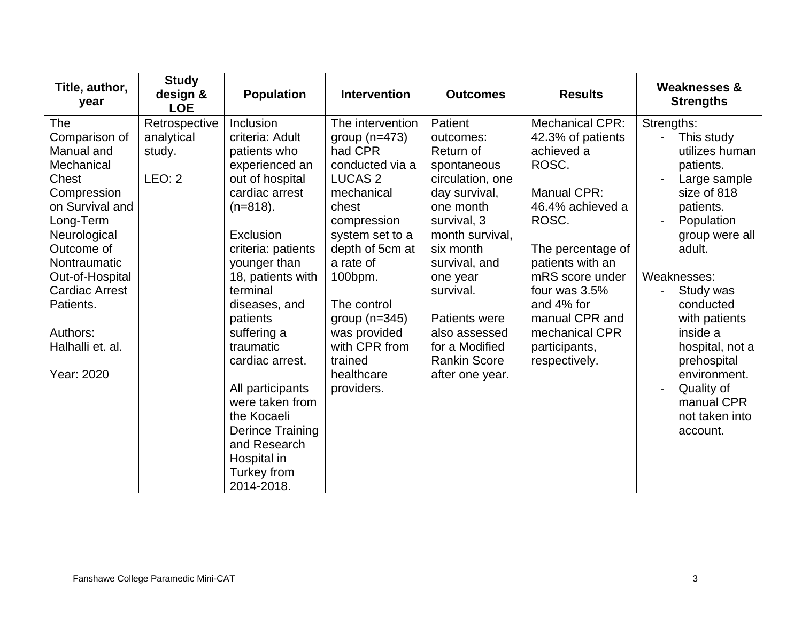| Title, author,<br>year                                                                                                                 | <b>Study</b><br>design &<br><b>LOE</b>          | <b>Population</b>                                                                                                                                                                        | <b>Intervention</b>                                                                                                                                             | <b>Outcomes</b>                                                                                                                                   | <b>Results</b>                                                                                                               | <b>Weaknesses &amp;</b><br><b>Strengths</b>                                                                                                             |
|----------------------------------------------------------------------------------------------------------------------------------------|-------------------------------------------------|------------------------------------------------------------------------------------------------------------------------------------------------------------------------------------------|-----------------------------------------------------------------------------------------------------------------------------------------------------------------|---------------------------------------------------------------------------------------------------------------------------------------------------|------------------------------------------------------------------------------------------------------------------------------|---------------------------------------------------------------------------------------------------------------------------------------------------------|
| The<br>Comparison of<br>Manual and<br>Mechanical<br>Chest<br>Compression<br>on Survival and<br>Long-Term<br>Neurological<br>Outcome of | Retrospective<br>analytical<br>study.<br>LEO: 2 | Inclusion<br>criteria: Adult<br>patients who<br>experienced an<br>out of hospital<br>cardiac arrest<br>$(n=818)$ .<br>Exclusion<br>criteria: patients                                    | The intervention<br>group $(n=473)$<br>had CPR<br>conducted via a<br><b>LUCAS 2</b><br>mechanical<br>chest<br>compression<br>system set to a<br>depth of 5cm at | Patient<br>outcomes:<br>Return of<br>spontaneous<br>circulation, one<br>day survival,<br>one month<br>survival, 3<br>month survival.<br>six month | Mechanical CPR:<br>42.3% of patients<br>achieved a<br>ROSC.<br>Manual CPR:<br>46.4% achieved a<br>ROSC.<br>The percentage of | Strengths:<br>$\sim$<br>This study<br>utilizes human<br>patients.<br>Large sample<br>size of 818<br>patients.<br>Population<br>group were all<br>adult. |
| Nontraumatic<br>Out-of-Hospital<br><b>Cardiac Arrest</b><br>Patients.                                                                  |                                                 | younger than<br>18, patients with<br>terminal<br>diseases, and<br>patients                                                                                                               | a rate of<br>100 <sub>bpm</sub> .<br>The control<br>group $(n=345)$                                                                                             | survival, and<br>one year<br>survival.<br>Patients were                                                                                           | patients with an<br>mRS score under<br>four was 3.5%<br>and 4% for<br>manual CPR and                                         | Weaknesses:<br>Study was<br>conducted<br>with patients                                                                                                  |
| Authors:<br>Halhalli et. al.<br>Year: 2020                                                                                             |                                                 | suffering a<br>traumatic<br>cardiac arrest.<br>All participants<br>were taken from<br>the Kocaeli<br><b>Derince Training</b><br>and Research<br>Hospital in<br>Turkey from<br>2014-2018. | was provided<br>with CPR from<br>trained<br>healthcare<br>providers.                                                                                            | also assessed<br>for a Modified<br><b>Rankin Score</b><br>after one year.                                                                         | mechanical CPR<br>participants,<br>respectively.                                                                             | inside a<br>hospital, not a<br>prehospital<br>environment.<br>Quality of<br>۰<br>manual CPR<br>not taken into<br>account.                               |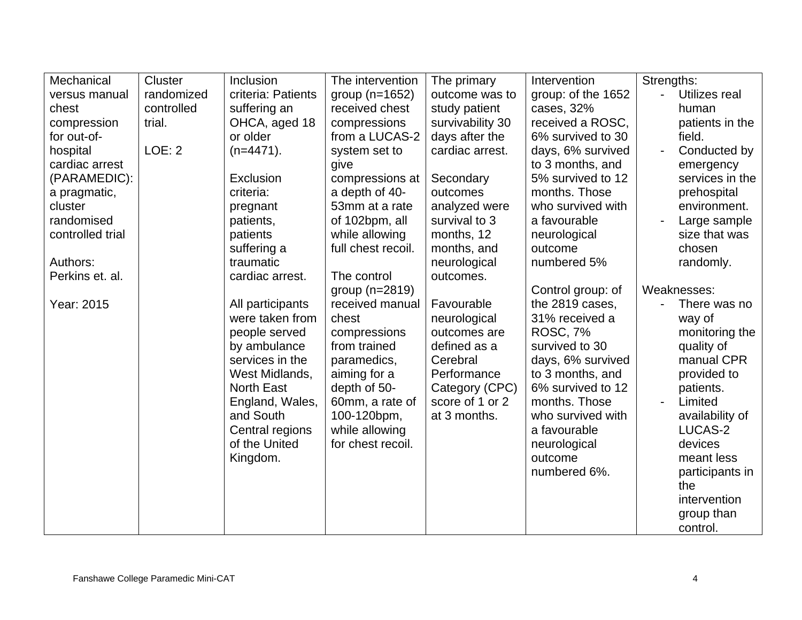| Mechanical       | Cluster    | Inclusion          | The intervention   | The primary      | Intervention       | Strengths:                      |
|------------------|------------|--------------------|--------------------|------------------|--------------------|---------------------------------|
| versus manual    | randomized | criteria: Patients | group $(n=1652)$   | outcome was to   | group: of the 1652 | Utilizes real<br>$\overline{a}$ |
| chest            | controlled | suffering an       | received chest     | study patient    | cases, 32%         | human                           |
| compression      | trial.     | OHCA, aged 18      | compressions       | survivability 30 | received a ROSC,   | patients in the                 |
| for out-of-      |            | or older           | from a LUCAS-2     | days after the   | 6% survived to 30  | field.                          |
| hospital         | LOE: 2     | $(n=4471)$ .       | system set to      | cardiac arrest.  | days, 6% survived  | Conducted by                    |
| cardiac arrest   |            |                    | give               |                  | to 3 months, and   | emergency                       |
| (PARAMEDIC):     |            | Exclusion          | compressions at    | Secondary        | 5% survived to 12  | services in the                 |
| a pragmatic,     |            | criteria:          | a depth of 40-     | outcomes         | months. Those      | prehospital                     |
| cluster          |            | pregnant           | 53mm at a rate     | analyzed were    | who survived with  | environment.                    |
| randomised       |            | patients,          | of 102bpm, all     | survival to 3    | a favourable       | Large sample                    |
| controlled trial |            | patients           | while allowing     | months, 12       | neurological       | size that was                   |
|                  |            | suffering a        | full chest recoil. | months, and      | outcome            | chosen                          |
| Authors:         |            | traumatic          |                    | neurological     | numbered 5%        | randomly.                       |
| Perkins et. al.  |            | cardiac arrest.    | The control        | outcomes.        |                    |                                 |
|                  |            |                    | group $(n=2819)$   |                  | Control group: of  | Weaknesses:                     |
| Year: 2015       |            | All participants   | received manual    | Favourable       | the 2819 cases,    | There was no<br>$\blacksquare$  |
|                  |            | were taken from    | chest              | neurological     | 31% received a     | way of                          |
|                  |            | people served      | compressions       | outcomes are     | <b>ROSC, 7%</b>    | monitoring the                  |
|                  |            | by ambulance       | from trained       | defined as a     | survived to 30     | quality of                      |
|                  |            | services in the    | paramedics,        | Cerebral         | days, 6% survived  | manual CPR                      |
|                  |            | West Midlands,     | aiming for a       | Performance      | to 3 months, and   | provided to                     |
|                  |            | <b>North East</b>  | depth of 50-       | Category (CPC)   | 6% survived to 12  | patients.                       |
|                  |            | England, Wales,    | 60mm, a rate of    | score of 1 or 2  | months. Those      | Limited<br>$\blacksquare$       |
|                  |            | and South          | 100-120bpm,        | at 3 months.     | who survived with  | availability of                 |
|                  |            | Central regions    | while allowing     |                  | a favourable       | LUCAS-2                         |
|                  |            | of the United      | for chest recoil.  |                  | neurological       | devices                         |
|                  |            | Kingdom.           |                    |                  | outcome            | meant less                      |
|                  |            |                    |                    |                  | numbered 6%.       | participants in                 |
|                  |            |                    |                    |                  |                    | the                             |
|                  |            |                    |                    |                  |                    | intervention                    |
|                  |            |                    |                    |                  |                    | group than                      |
|                  |            |                    |                    |                  |                    | control.                        |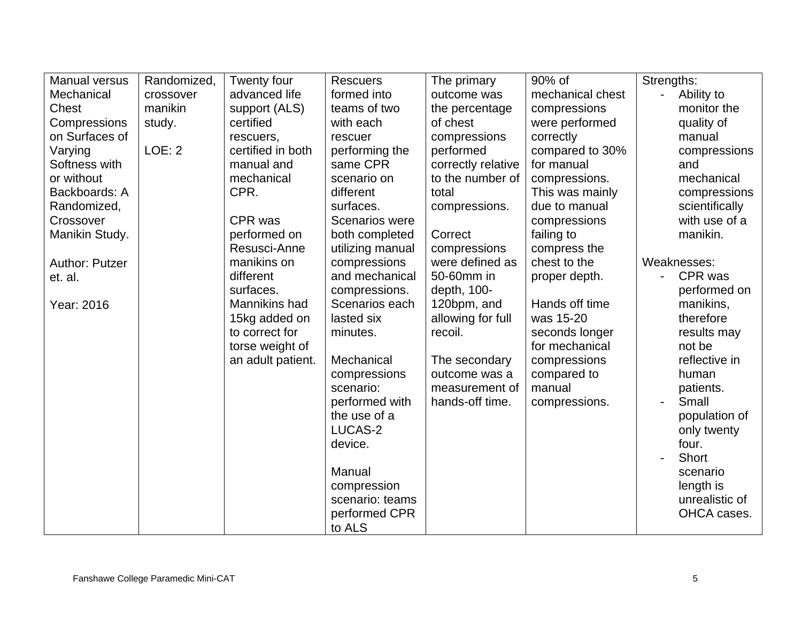| <b>Manual versus</b> | Randomized, | Twenty four       | <b>Rescuers</b>       | The primary        | 90% of           | Strengths:           |
|----------------------|-------------|-------------------|-----------------------|--------------------|------------------|----------------------|
| Mechanical           | crossover   | advanced life     | formed into           | outcome was        | mechanical chest | Ability to<br>$\sim$ |
| <b>Chest</b>         | manikin     | support (ALS)     | teams of two          | the percentage     | compressions     | monitor the          |
| Compressions         | study.      | certified         | with each             | of chest           | were performed   | quality of           |
| on Surfaces of       |             | rescuers,         | rescuer               | compressions       | correctly        | manual               |
| Varying              | LOE: 2      | certified in both | performing the        | performed          | compared to 30%  | compressions         |
| Softness with        |             | manual and        | same CPR              | correctly relative | for manual       | and                  |
| or without           |             | mechanical        | scenario on           | to the number of   | compressions.    | mechanical           |
| Backboards: A        |             | CPR.              | different             | total              | This was mainly  | compressions         |
| Randomized,          |             |                   | surfaces.             | compressions.      | due to manual    | scientifically       |
| Crossover            |             | CPR was           | <b>Scenarios were</b> |                    | compressions     | with use of a        |
| Manikin Study.       |             | performed on      | both completed        | Correct            | failing to       | manikin.             |
|                      |             | Resusci-Anne      | utilizing manual      | compressions       | compress the     |                      |
| Author: Putzer       |             | manikins on       | compressions          | were defined as    | chest to the     | Weaknesses:          |
| et. al.              |             | different         | and mechanical        | 50-60mm in         | proper depth.    | CPR was              |
|                      |             | surfaces.         | compressions.         | depth, 100-        |                  | performed on         |
| Year: 2016           |             | Mannikins had     | Scenarios each        | 120bpm, and        | Hands off time   | manikins,            |
|                      |             | 15kg added on     | lasted six            | allowing for full  | was 15-20        | therefore            |
|                      |             | to correct for    | minutes.              | recoil.            | seconds longer   | results may          |
|                      |             | torse weight of   |                       |                    | for mechanical   | not be               |
|                      |             | an adult patient. | Mechanical            | The secondary      | compressions     | reflective in        |
|                      |             |                   | compressions          | outcome was a      | compared to      | human                |
|                      |             |                   | scenario:             | measurement of     | manual           | patients.            |
|                      |             |                   | performed with        | hands-off time.    | compressions.    | Small                |
|                      |             |                   | the use of a          |                    |                  | population of        |
|                      |             |                   | LUCAS-2               |                    |                  | only twenty          |
|                      |             |                   | device.               |                    |                  | four.                |
|                      |             |                   |                       |                    |                  | <b>Short</b>         |
|                      |             |                   | Manual                |                    |                  | scenario             |
|                      |             |                   | compression           |                    |                  | length is            |
|                      |             |                   | scenario: teams       |                    |                  | unrealistic of       |
|                      |             |                   | performed CPR         |                    |                  | OHCA cases.          |
|                      |             |                   | to ALS                |                    |                  |                      |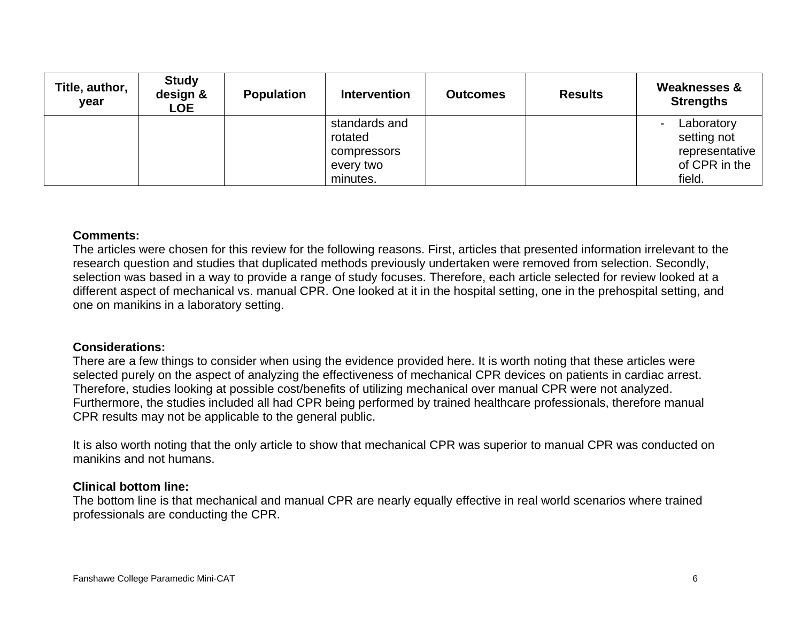| Title, author,<br>year | <b>Study</b><br>design &<br><b>LOE</b> | <b>Population</b> | <b>Intervention</b>                                              | <b>Outcomes</b> | <b>Results</b> | <b>Weaknesses &amp;</b><br><b>Strengths</b>                                              |
|------------------------|----------------------------------------|-------------------|------------------------------------------------------------------|-----------------|----------------|------------------------------------------------------------------------------------------|
|                        |                                        |                   | standards and<br>rotated<br>compressors<br>every two<br>minutes. |                 |                | Laboratory<br>$\blacksquare$<br>setting not<br>representative<br>of CPR in the<br>field. |

#### **Comments:**

The articles were chosen for this review for the following reasons. First, articles that presented information irrelevant to the research question and studies that duplicated methods previously undertaken were removed from selection. Secondly, selection was based in a way to provide a range of study focuses. Therefore, each article selected for review looked at a different aspect of mechanical vs. manual CPR. One looked at it in the hospital setting, one in the prehospital setting, and one on manikins in a laboratory setting.

#### **Considerations:**

There are a few things to consider when using the evidence provided here. It is worth noting that these articles were selected purely on the aspect of analyzing the effectiveness of mechanical CPR devices on patients in cardiac arrest. Therefore, studies looking at possible cost/benefits of utilizing mechanical over manual CPR were not analyzed. Furthermore, the studies included all had CPR being performed by trained healthcare professionals, therefore manual CPR results may not be applicable to the general public.

It is also worth noting that the only article to show that mechanical CPR was superior to manual CPR was conducted on manikins and not humans.

#### **Clinical bottom line:**

The bottom line is that mechanical and manual CPR are nearly equally effective in real world scenarios where trained professionals are conducting the CPR.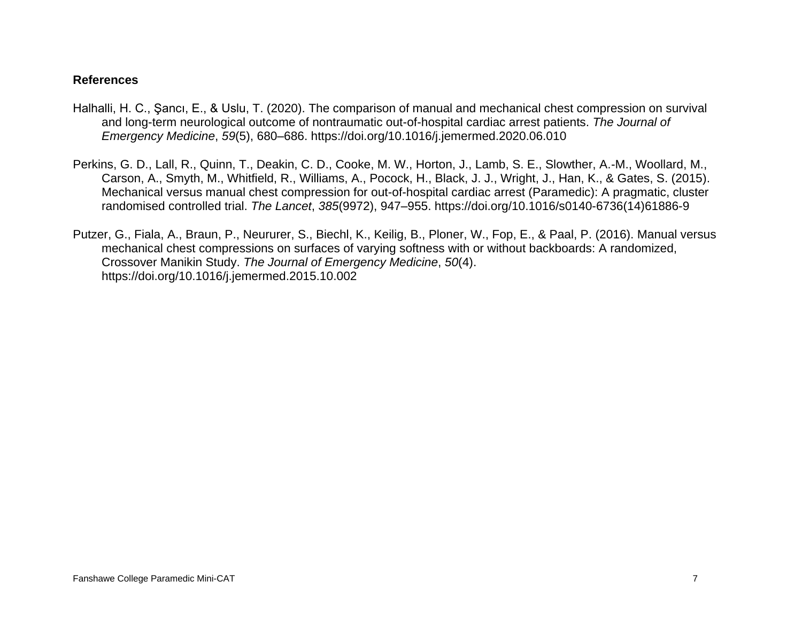#### **References**

- Halhalli, H. C., Şancı, E., & Uslu, T. (2020). The comparison of manual and mechanical chest compression on survival and long-term neurological outcome of nontraumatic out-of-hospital cardiac arrest patients. *The Journal of Emergency Medicine*, *59*(5), 680–686. https://doi.org/10.1016/j.jemermed.2020.06.010
- Perkins, G. D., Lall, R., Quinn, T., Deakin, C. D., Cooke, M. W., Horton, J., Lamb, S. E., Slowther, A.-M., Woollard, M., Carson, A., Smyth, M., Whitfield, R., Williams, A., Pocock, H., Black, J. J., Wright, J., Han, K., & Gates, S. (2015). Mechanical versus manual chest compression for out-of-hospital cardiac arrest (Paramedic): A pragmatic, cluster randomised controlled trial. *The Lancet*, *385*(9972), 947–955. https://doi.org/10.1016/s0140-6736(14)61886-9
- Putzer, G., Fiala, A., Braun, P., Neururer, S., Biechl, K., Keilig, B., Ploner, W., Fop, E., & Paal, P. (2016). Manual versus mechanical chest compressions on surfaces of varying softness with or without backboards: A randomized, Crossover Manikin Study. *The Journal of Emergency Medicine*, *50*(4). https://doi.org/10.1016/j.jemermed.2015.10.002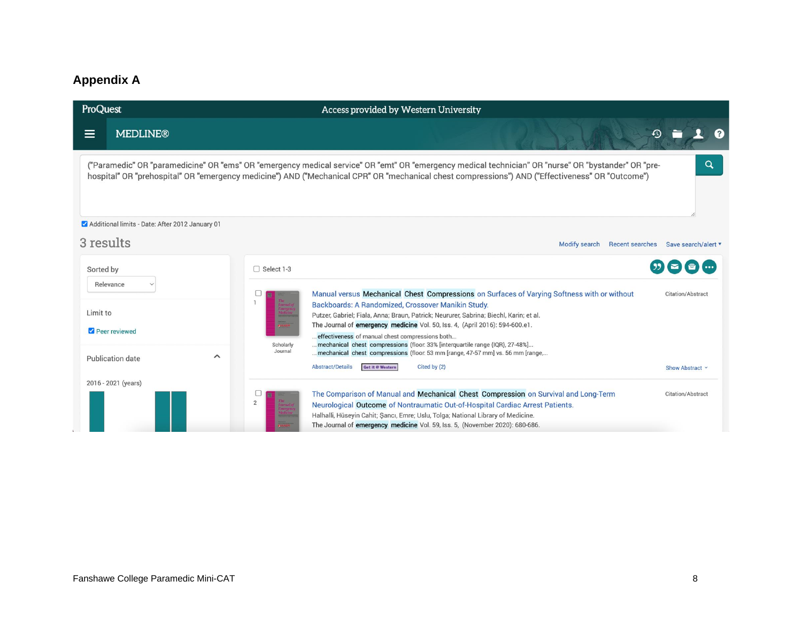## **Appendix A**

| ProQuest  |                                                 |                      | Access provided by Western University                                                                                                                                                                                                                                                                    |                                                                                                                                 |  |
|-----------|-------------------------------------------------|----------------------|----------------------------------------------------------------------------------------------------------------------------------------------------------------------------------------------------------------------------------------------------------------------------------------------------------|---------------------------------------------------------------------------------------------------------------------------------|--|
| $\equiv$  | <b>MEDLINE®</b>                                 |                      | $\Omega$                                                                                                                                                                                                                                                                                                 |                                                                                                                                 |  |
|           |                                                 |                      | ("Paramedic" OR "paramedicine" OR "ems" OR "emergency medical service" OR "emt" OR "emergency medical technician" OR "nurse" OR "bystander" OR "pre-<br>hospital" OR "prehospital" OR "emergency medicine") AND ("Mechanical CPR" OR "mechanical chest compressions") AND ("Effectiveness" OR "Outcome") | Q                                                                                                                               |  |
|           | Additional limits - Date: After 2012 January 01 |                      |                                                                                                                                                                                                                                                                                                          |                                                                                                                                 |  |
| 3 results |                                                 |                      | <b>Recent searches</b><br><b>Modify search</b>                                                                                                                                                                                                                                                           | Save search/alert ▼                                                                                                             |  |
| Sorted by |                                                 | □ Select 1-3         |                                                                                                                                                                                                                                                                                                          |                                                                                                                                 |  |
|           | Relevance                                       |                      | Manual versus Mechanical Chest Compressions on Surfaces of Varying Softness with or without                                                                                                                                                                                                              | Citation/Abstract                                                                                                               |  |
| Limit to  |                                                 |                      | Backboards: A Randomized, Crossover Manikin Study.<br>Putzer, Gabriel; Fiala, Anna; Braun, Patrick; Neururer, Sabrina; Biechl, Karin; et al.                                                                                                                                                             |                                                                                                                                 |  |
|           | Peer reviewed                                   |                      |                                                                                                                                                                                                                                                                                                          | The Journal of emergency medicine Vol. 50, Iss. 4, (April 2016): 594-600.e1.<br>effectiveness of manual chest compressions both |  |
|           | $\sim$<br><b>Publication date</b>               | Scholarly<br>Journal | mechanical chest compressions (floor. 33% [interquartile range {IQR}, 27-48%]<br>mechanical chest compressions (floor: 53 mm [range, 47-57 mm] vs. 56 mm [range,                                                                                                                                         |                                                                                                                                 |  |
|           |                                                 |                      | <b>Abstract/Details</b><br>Get it @ Western<br>Cited by (2)                                                                                                                                                                                                                                              | Show Abstract Y                                                                                                                 |  |
|           | 2016 - 2021 (years)                             |                      |                                                                                                                                                                                                                                                                                                          |                                                                                                                                 |  |
|           |                                                 |                      | The Comparison of Manual and Mechanical Chest Compression on Survival and Long-Term<br>Neurological Outcome of Nontraumatic Out-of-Hospital Cardiac Arrest Patients.                                                                                                                                     | Citation/Abstract                                                                                                               |  |
|           |                                                 |                      | Halhalli, Hüseyin Cahit; Şancı, Emre; Uslu, Tolga; National Library of Medicine.                                                                                                                                                                                                                         |                                                                                                                                 |  |
|           |                                                 |                      | The Journal of emergency medicine Vol. 59, Iss. 5, (November 2020): 680-686.                                                                                                                                                                                                                             |                                                                                                                                 |  |